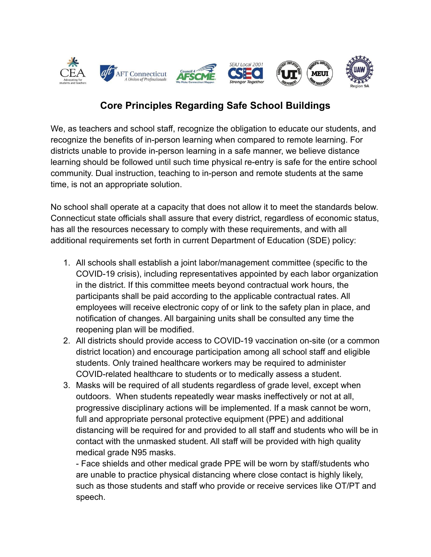

## **Core Principles Regarding Safe School Buildings**

We, as teachers and school staff, recognize the obligation to educate our students, and recognize the benefits of in-person learning when compared to remote learning. For districts unable to provide in-person learning in a safe manner, we believe distance learning should be followed until such time physical re-entry is safe for the entire school community. Dual instruction, teaching to in-person and remote students at the same time, is not an appropriate solution.

No school shall operate at a capacity that does not allow it to meet the standards below. Connecticut state officials shall assure that every district, regardless of economic status, has all the resources necessary to comply with these requirements, and with all additional requirements set forth in current Department of Education (SDE) policy:

- 1. All schools shall establish a joint labor/management committee (specific to the COVID-19 crisis), including representatives appointed by each labor organization in the district. If this committee meets beyond contractual work hours, the participants shall be paid according to the applicable contractual rates. All employees will receive electronic copy of or link to the safety plan in place, and notification of changes. All bargaining units shall be consulted any time the reopening plan will be modified.
- 2. All districts should provide access to COVID-19 vaccination on-site (or a common district location) and encourage participation among all school staff and eligible students. Only trained healthcare workers may be required to administer COVID-related healthcare to students or to medically assess a student.
- 3. Masks will be required of all students regardless of grade level, except when outdoors. When students repeatedly wear masks ineffectively or not at all, progressive disciplinary actions will be implemented. If a mask cannot be worn, full and appropriate personal protective equipment (PPE) and additional distancing will be required for and provided to all staff and students who will be in contact with the unmasked student. All staff will be provided with high quality medical grade N95 masks.

- Face shields and other medical grade PPE will be worn by staff/students who are unable to practice physical distancing where close contact is highly likely, such as those students and staff who provide or receive services like OT/PT and speech.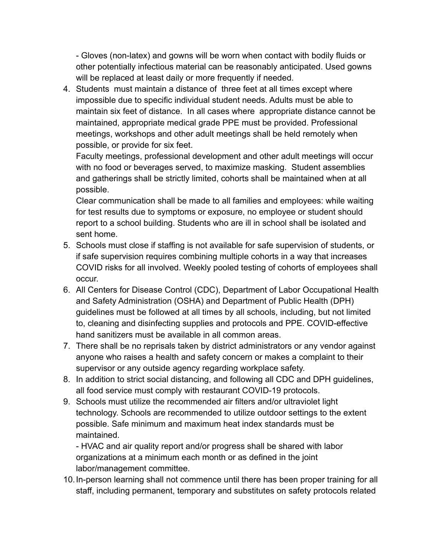- Gloves (non-latex) and gowns will be worn when contact with bodily fluids or other potentially infectious material can be reasonably anticipated. Used gowns will be replaced at least daily or more frequently if needed.

4. Students must maintain a distance of three feet at all times except where impossible due to specific individual student needs. Adults must be able to maintain six feet of distance. In all cases where appropriate distance cannot be maintained, appropriate medical grade PPE must be provided. Professional meetings, workshops and other adult meetings shall be held remotely when possible, or provide for six feet.

Faculty meetings, professional development and other adult meetings will occur with no food or beverages served, to maximize masking. Student assemblies and gatherings shall be strictly limited, cohorts shall be maintained when at all possible.

Clear communication shall be made to all families and employees: while waiting for test results due to symptoms or exposure, no employee or student should report to a school building. Students who are ill in school shall be isolated and sent home.

- 5. Schools must close if staffing is not available for safe supervision of students, or if safe supervision requires combining multiple cohorts in a way that increases COVID risks for all involved. Weekly pooled testing of cohorts of employees shall occur.
- 6. All Centers for Disease Control (CDC), Department of Labor Occupational Health and Safety Administration (OSHA) and Department of Public Health (DPH) guidelines must be followed at all times by all schools, including, but not limited to, cleaning and disinfecting supplies and protocols and PPE. COVID-effective hand sanitizers must be available in all common areas.
- 7. There shall be no reprisals taken by district administrators or any vendor against anyone who raises a health and safety concern or makes a complaint to their supervisor or any outside agency regarding workplace safety.
- 8. In addition to strict social distancing, and following all CDC and DPH guidelines, all food service must comply with restaurant COVID-19 protocols.
- 9. Schools must utilize the recommended air filters and/or ultraviolet light technology. Schools are recommended to utilize outdoor settings to the extent possible. Safe minimum and maximum heat index standards must be maintained.

- HVAC and air quality report and/or progress shall be shared with labor organizations at a minimum each month or as defined in the joint labor/management committee.

10.In-person learning shall not commence until there has been proper training for all staff, including permanent, temporary and substitutes on safety protocols related